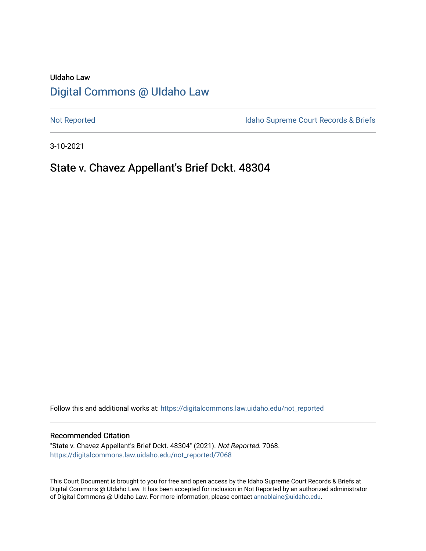# UIdaho Law [Digital Commons @ UIdaho Law](https://digitalcommons.law.uidaho.edu/)

[Not Reported](https://digitalcommons.law.uidaho.edu/not_reported) **Idaho Supreme Court Records & Briefs** 

3-10-2021

## State v. Chavez Appellant's Brief Dckt. 48304

Follow this and additional works at: [https://digitalcommons.law.uidaho.edu/not\\_reported](https://digitalcommons.law.uidaho.edu/not_reported?utm_source=digitalcommons.law.uidaho.edu%2Fnot_reported%2F7068&utm_medium=PDF&utm_campaign=PDFCoverPages) 

#### Recommended Citation

"State v. Chavez Appellant's Brief Dckt. 48304" (2021). Not Reported. 7068. [https://digitalcommons.law.uidaho.edu/not\\_reported/7068](https://digitalcommons.law.uidaho.edu/not_reported/7068?utm_source=digitalcommons.law.uidaho.edu%2Fnot_reported%2F7068&utm_medium=PDF&utm_campaign=PDFCoverPages)

This Court Document is brought to you for free and open access by the Idaho Supreme Court Records & Briefs at Digital Commons @ UIdaho Law. It has been accepted for inclusion in Not Reported by an authorized administrator of Digital Commons @ UIdaho Law. For more information, please contact [annablaine@uidaho.edu](mailto:annablaine@uidaho.edu).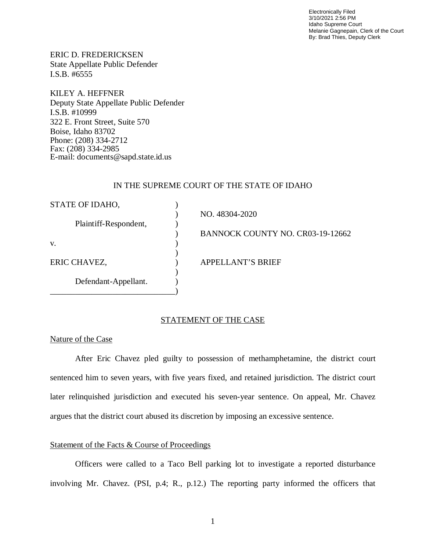Electronically Filed 3/10/2021 2:56 PM Idaho Supreme Court Melanie Gagnepain, Clerk of the Court By: Brad Thies, Deputy Clerk

ERIC D. FREDERICKSEN State Appellate Public Defender I.S.B. #6555

KILEY A. HEFFNER Deputy State Appellate Public Defender I.S.B. #10999 322 E. Front Street, Suite 570 Boise, Idaho 83702 Phone: (208) 334-2712 Fax: (208) 334-2985 E-mail: documents@sapd.state.id.us

### IN THE SUPREME COURT OF THE STATE OF IDAHO

| STATE OF IDAHO,       |                                  |
|-----------------------|----------------------------------|
|                       | NO. 48304-2020                   |
| Plaintiff-Respondent, |                                  |
|                       | BANNOCK COUNTY NO. CR03-19-12662 |
| V.                    |                                  |
|                       |                                  |
| ERIC CHAVEZ,          | <b>APPELLANT'S BRIEF</b>         |
|                       |                                  |
| Defendant-Appellant.  |                                  |
|                       |                                  |

#### STATEMENT OF THE CASE

#### Nature of the Case

After Eric Chavez pled guilty to possession of methamphetamine, the district court sentenced him to seven years, with five years fixed, and retained jurisdiction. The district court later relinquished jurisdiction and executed his seven-year sentence. On appeal, Mr. Chavez argues that the district court abused its discretion by imposing an excessive sentence.

### Statement of the Facts & Course of Proceedings

Officers were called to a Taco Bell parking lot to investigate a reported disturbance involving Mr. Chavez. (PSI, p.4; R., p.12.) The reporting party informed the officers that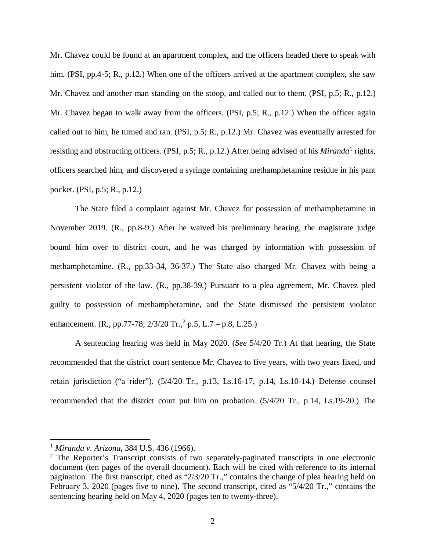Mr. Chavez could be found at an apartment complex, and the officers headed there to speak with him. (PSI, pp.4-5; R., p.12.) When one of the officers arrived at the apartment complex, she saw Mr. Chavez and another man standing on the stoop, and called out to them. (PSI, p.5; R., p.12.) Mr. Chavez began to walk away from the officers. (PSI, p.5; R., p.12.) When the officer again called out to him, he turned and ran. (PSI, p.5; R., p.12.) Mr. Chavez was eventually arrested for resisting and obstructing officers. (PSI, p.5; R., p.[1](#page-2-0)2.) After being advised of his *Miranda*<sup>1</sup> rights, officers searched him, and discovered a syringe containing methamphetamine residue in his pant pocket. (PSI, p.5; R., p.12.)

The State filed a complaint against Mr. Chavez for possession of methamphetamine in November 2019. (R., pp.8-9.) After he waived his preliminary hearing, the magistrate judge bound him over to district court, and he was charged by information with possession of methamphetamine. (R., pp.33-34, 36-37.) The State also charged Mr. Chavez with being a persistent violator of the law. (R., pp.38-39.) Pursuant to a plea agreement, Mr. Chavez pled guilty to possession of methamphetamine, and the State dismissed the persistent violator enhancement. (R., pp.77-78;  $2/3/20$  $2/3/20$  Tr.,<sup>2</sup> p.5, L.7 – p.8, L.25.)

A sentencing hearing was held in May 2020. (*See* 5/4/20 Tr.) At that hearing, the State recommended that the district court sentence Mr. Chavez to five years, with two years fixed, and retain jurisdiction ("a rider"). (5/4/20 Tr., p.13, Ls.16-17, p.14, Ls.10-14.) Defense counsel recommended that the district court put him on probation. (5/4/20 Tr., p.14, Ls.19-20.) The

<span id="page-2-0"></span><sup>1</sup> *Miranda v. Arizona*, 384 U.S. 436 (1966).

<span id="page-2-1"></span><sup>&</sup>lt;sup>2</sup> The Reporter's Transcript consists of two separately-paginated transcripts in one electronic document (ten pages of the overall document). Each will be cited with reference to its internal pagination. The first transcript, cited as "2/3/20 Tr.," contains the change of plea hearing held on February 3, 2020 (pages five to nine). The second transcript, cited as "5/4/20 Tr.," contains the sentencing hearing held on May 4, 2020 (pages ten to twenty-three).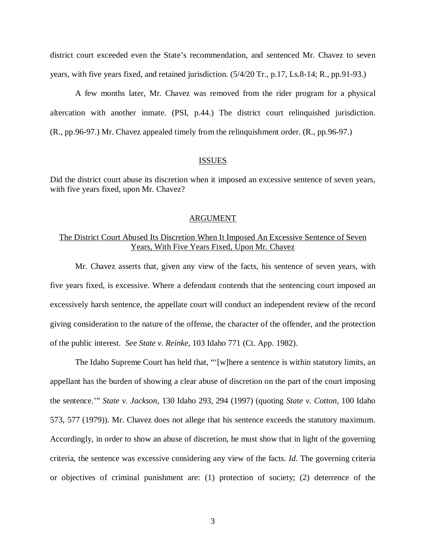district court exceeded even the State's recommendation, and sentenced Mr. Chavez to seven years, with five years fixed, and retained jurisdiction. (5/4/20 Tr., p.17, Ls.8-14; R., pp.91-93.)

A few months later, Mr. Chavez was removed from the rider program for a physical altercation with another inmate. (PSI, p.44.) The district court relinquished jurisdiction. (R., pp.96-97.) Mr. Chavez appealed timely from the relinquishment order. (R., pp.96-97.)

### **ISSUES**

Did the district court abuse its discretion when it imposed an excessive sentence of seven years, with five years fixed, upon Mr. Chavez?

#### ARGUMENT

## The District Court Abused Its Discretion When It Imposed An Excessive Sentence of Seven Years, With Five Years Fixed, Upon Mr. Chavez

Mr. Chavez asserts that, given any view of the facts, his sentence of seven years, with five years fixed, is excessive. Where a defendant contends that the sentencing court imposed an excessively harsh sentence, the appellate court will conduct an independent review of the record giving consideration to the nature of the offense, the character of the offender, and the protection of the public interest. *See State v. Reinke*, 103 Idaho 771 (Ct. App. 1982).

The Idaho Supreme Court has held that, "'[w]here a sentence is within statutory limits, an appellant has the burden of showing a clear abuse of discretion on the part of the court imposing the sentence.'" *State v. Jackson*, 130 Idaho 293, 294 (1997) (quoting *State v. Cotton*, 100 Idaho 573, 577 (1979)). Mr. Chavez does not allege that his sentence exceeds the statutory maximum. Accordingly, in order to show an abuse of discretion, he must show that in light of the governing criteria, the sentence was excessive considering any view of the facts. *Id*. The governing criteria or objectives of criminal punishment are: (1) protection of society; (2) deterrence of the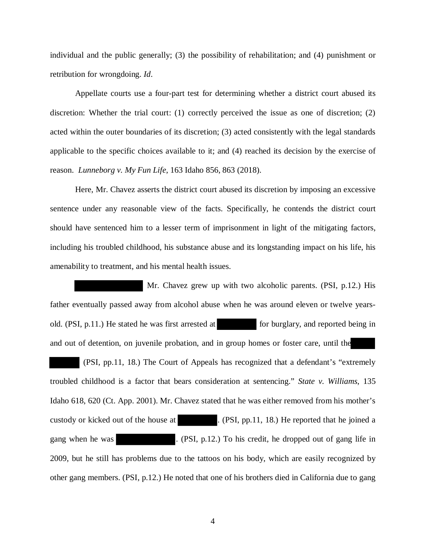individual and the public generally; (3) the possibility of rehabilitation; and (4) punishment or retribution for wrongdoing. *Id*.

Appellate courts use a four-part test for determining whether a district court abused its discretion: Whether the trial court: (1) correctly perceived the issue as one of discretion; (2) acted within the outer boundaries of its discretion; (3) acted consistently with the legal standards applicable to the specific choices available to it; and (4) reached its decision by the exercise of reason. *Lunneborg v. My Fun Life*, 163 Idaho 856, 863 (2018).

Here, Mr. Chavez asserts the district court abused its discretion by imposing an excessive sentence under any reasonable view of the facts. Specifically, he contends the district court should have sentenced him to a lesser term of imprisonment in light of the mitigating factors, including his troubled childhood, his substance abuse and its longstanding impact on his life, his amenability to treatment, and his mental health issues.

 Mr. Chavez grew up with two alcoholic parents. (PSI, p.12.) His father eventually passed away from alcohol abuse when he was around eleven or twelve yearsold. (PSI, p.11.) He stated he was first arrested at for burglary, and reported being in and out of detention, on juvenile probation, and in group homes or foster care, until the

 (PSI, pp.11, 18.) The Court of Appeals has recognized that a defendant's "extremely troubled childhood is a factor that bears consideration at sentencing." *State v. Williams*, 135 Idaho 618, 620 (Ct. App. 2001). Mr. Chavez stated that he was either removed from his mother's custody or kicked out of the house at ... (PSI, pp.11, 18.) He reported that he joined a gang when he was . (PSI, p.12.) To his credit, he dropped out of gang life in 2009, but he still has problems due to the tattoos on his body, which are easily recognized by other gang members. (PSI, p.12.) He noted that one of his brothers died in California due to gang

4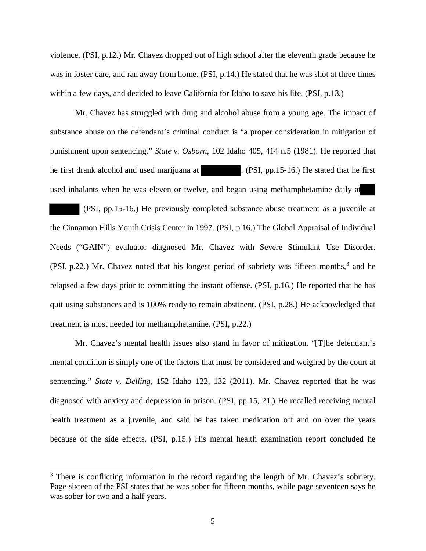violence. (PSI, p.12.) Mr. Chavez dropped out of high school after the eleventh grade because he was in foster care, and ran away from home. (PSI, p.14.) He stated that he was shot at three times within a few days, and decided to leave California for Idaho to save his life. (PSI, p.13.)

Mr. Chavez has struggled with drug and alcohol abuse from a young age. The impact of substance abuse on the defendant's criminal conduct is "a proper consideration in mitigation of punishment upon sentencing." *State v. Osborn*, 102 Idaho 405, 414 n.5 (1981). He reported that he first drank alcohol and used marijuana at . (PSI, pp.15-16.) He stated that he first used inhalants when he was eleven or twelve, and began using methamphetamine daily at

 (PSI, pp.15-16.) He previously completed substance abuse treatment as a juvenile at the Cinnamon Hills Youth Crisis Center in 1997. (PSI, p.16.) The Global Appraisal of Individual Needs ("GAIN") evaluator diagnosed Mr. Chavez with Severe Stimulant Use Disorder. (PSI, p.22.) Mr. Chavez noted that his longest period of sobriety was fifteen months, $3$  and he relapsed a few days prior to committing the instant offense. (PSI, p.16.) He reported that he has quit using substances and is 100% ready to remain abstinent. (PSI, p.28.) He acknowledged that treatment is most needed for methamphetamine. (PSI, p.22.)

Mr. Chavez's mental health issues also stand in favor of mitigation. "[T]he defendant's mental condition is simply one of the factors that must be considered and weighed by the court at sentencing." *State v. Delling*, 152 Idaho 122, 132 (2011). Mr. Chavez reported that he was diagnosed with anxiety and depression in prison. (PSI, pp.15, 21.) He recalled receiving mental health treatment as a juvenile, and said he has taken medication off and on over the years because of the side effects. (PSI, p.15.) His mental health examination report concluded he

<span id="page-5-0"></span><sup>&</sup>lt;sup>3</sup> There is conflicting information in the record regarding the length of Mr. Chavez's sobriety. Page sixteen of the PSI states that he was sober for fifteen months, while page seventeen says he was sober for two and a half years.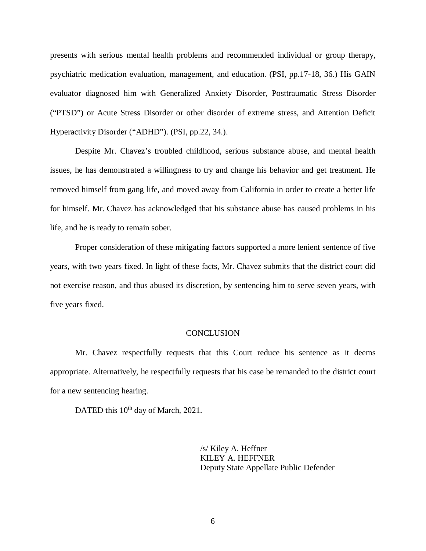presents with serious mental health problems and recommended individual or group therapy, psychiatric medication evaluation, management, and education. (PSI, pp.17-18, 36.) His GAIN evaluator diagnosed him with Generalized Anxiety Disorder, Posttraumatic Stress Disorder ("PTSD") or Acute Stress Disorder or other disorder of extreme stress, and Attention Deficit Hyperactivity Disorder ("ADHD"). (PSI, pp.22, 34.).

Despite Mr. Chavez's troubled childhood, serious substance abuse, and mental health issues, he has demonstrated a willingness to try and change his behavior and get treatment. He removed himself from gang life, and moved away from California in order to create a better life for himself. Mr. Chavez has acknowledged that his substance abuse has caused problems in his life, and he is ready to remain sober.

Proper consideration of these mitigating factors supported a more lenient sentence of five years, with two years fixed. In light of these facts, Mr. Chavez submits that the district court did not exercise reason, and thus abused its discretion, by sentencing him to serve seven years, with five years fixed.

#### **CONCLUSION**

Mr. Chavez respectfully requests that this Court reduce his sentence as it deems appropriate. Alternatively, he respectfully requests that his case be remanded to the district court for a new sentencing hearing.

DATED this 10<sup>th</sup> day of March, 2021.

/s/ Kiley A. Heffner KILEY A. HEFFNER Deputy State Appellate Public Defender